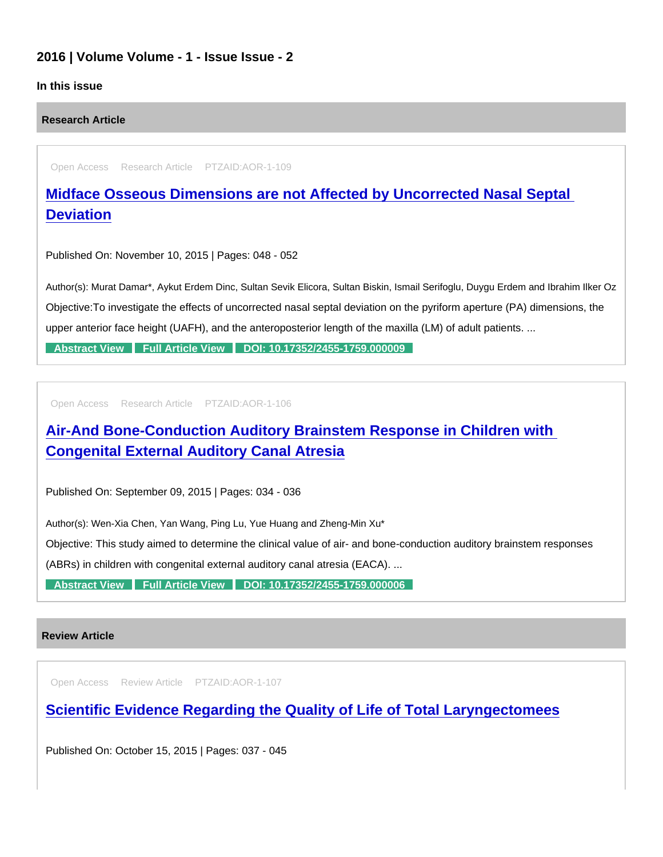## 2016 | Volume Volume - 1 - Issue Issue - 2

## In this issue

Research Article

Open Access Research Article PTZAID:AOR-1-109

[Midface Osseous Dimensions are not Affected by Uncorrected Nasal Septal](https://www.peertechzpublications.com/articles/midface-osseous-dimensions-are-not-affected-by-uncorrected-nasal-septal-deviation)  **Deviation** 

Published On: November 10, 2015 | Pages: 048 - 052

Author(s): Murat Damar\*, Aykut Erdem Dinc, Sultan Sevik Elicora, Sultan Biskin, Ismail Serifoglu, Duygu Erdem and Ibrahim Ilker Oz Objective:To investigate the effects of uncorrected nasal septal deviation on the pyriform aperture (PA) dimensions, the upper anterior face height (UAFH), and the anteroposterior length of the maxilla (LM) of adult patients. ...

[Abstract View](https://www.peertechzpublications.com/abstracts/midface-osseous-dimensions-are-not-affected-by-uncorrected-nasal-septal-deviation) [Full Article View](https://www.peertechzpublications.com/articles/midface-osseous-dimensions-are-not-affected-by-uncorrected-nasal-septal-deviation) [DOI: 10.17352/2455-1759.000009](http://dx.doi.org/10.17352/2455-1759.000009)

Open Access Research Article PTZAID:AOR-1-106

[Air-And Bone-Conduction Auditory Brainstem Response in Children with](https://www.peertechzpublications.com/articles/air-and-bone-conduction-auditory-brainstem-response-in-children-with-congenital-external-auditory-canal-atresia)  Congenital External Auditory Canal Atresia

Published On: September 09, 2015 | Pages: 034 - 036

Author(s): Wen-Xia Chen, Yan Wang, Ping Lu, Yue Huang and Zheng-Min Xu\*

Objective: This study aimed to determine the clinical value of air- and bone-conduction auditory brainstem responses

(ABRs) in children with congenital external auditory canal atresia (EACA). ...

[Abstract View](https://www.peertechzpublications.com/abstracts/air-and-bone-conduction-auditory-brainstem-response-in-children-with-congenital-external-auditory-canal-atresia) [Full Article View](https://www.peertechzpublications.com/articles/air-and-bone-conduction-auditory-brainstem-response-in-children-with-congenital-external-auditory-canal-atresia) [DOI: 10.17352/2455-1759.000006](http://dx.doi.org/10.17352/2455-1759.000006)

## Review Article

Open Access Review Article PTZAID:AOR-1-107

[Scientific Evidence Regarding the Quality of Life of Total Laryngectomees](https://www.peertechzpublications.com/articles/scientific-evidence-regarding-the-quality-of-life-of-total-laryngectomees)

Published On: October 15, 2015 | Pages: 037 - 045